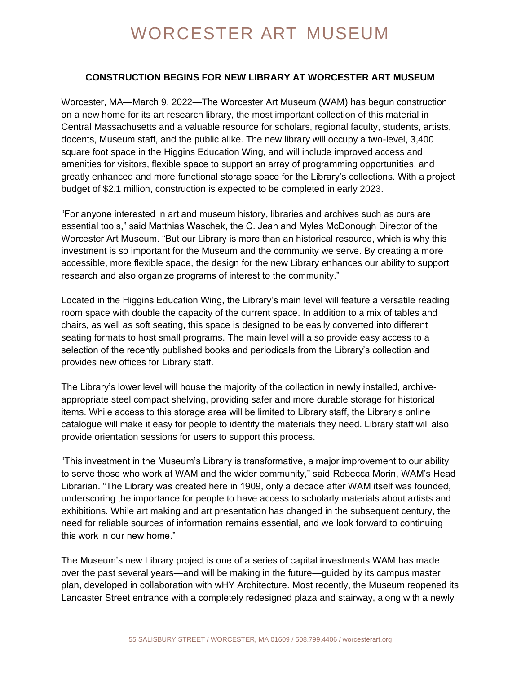## WORCESTER ART MUSEUM

## **CONSTRUCTION BEGINS FOR NEW LIBRARY AT WORCESTER ART MUSEUM**

Worcester, MA—March 9, 2022—The Worcester Art Museum (WAM) has begun construction on a new home for its art research library, the most important collection of this material in Central Massachusetts and a valuable resource for scholars, regional faculty, students, artists, docents, Museum staff, and the public alike. The new library will occupy a two-level, 3,400 square foot space in the Higgins Education Wing, and will include improved access and amenities for visitors, flexible space to support an array of programming opportunities, and greatly enhanced and more functional storage space for the Library's collections. With a project budget of \$2.1 million, construction is expected to be completed in early 2023.

"For anyone interested in art and museum history, libraries and archives such as ours are essential tools," said Matthias Waschek, the C. Jean and Myles McDonough Director of the Worcester Art Museum. "But our Library is more than an historical resource, which is why this investment is so important for the Museum and the community we serve. By creating a more accessible, more flexible space, the design for the new Library enhances our ability to support research and also organize programs of interest to the community."

Located in the Higgins Education Wing, the Library's main level will feature a versatile reading room space with double the capacity of the current space. In addition to a mix of tables and chairs, as well as soft seating, this space is designed to be easily converted into different seating formats to host small programs. The main level will also provide easy access to a selection of the recently published books and periodicals from the Library's collection and provides new offices for Library staff.

The Library's lower level will house the majority of the collection in newly installed, archiveappropriate steel compact shelving, providing safer and more durable storage for historical items. While access to this storage area will be limited to Library staff, the Library's online catalogue will make it easy for people to identify the materials they need. Library staff will also provide orientation sessions for users to support this process.

"This investment in the Museum's Library is transformative, a major improvement to our ability to serve those who work at WAM and the wider community," said Rebecca Morin, WAM's Head Librarian. "The Library was created here in 1909, only a decade after WAM itself was founded, underscoring the importance for people to have access to scholarly materials about artists and exhibitions. While art making and art presentation has changed in the subsequent century, the need for reliable sources of information remains essential, and we look forward to continuing this work in our new home."

The Museum's new Library project is one of a series of capital investments WAM has made over the past several years—and will be making in the future—guided by its campus master plan, developed in collaboration with wHY Architecture. Most recently, the Museum reopened its Lancaster Street entrance with a completely redesigned plaza and stairway, along with a newly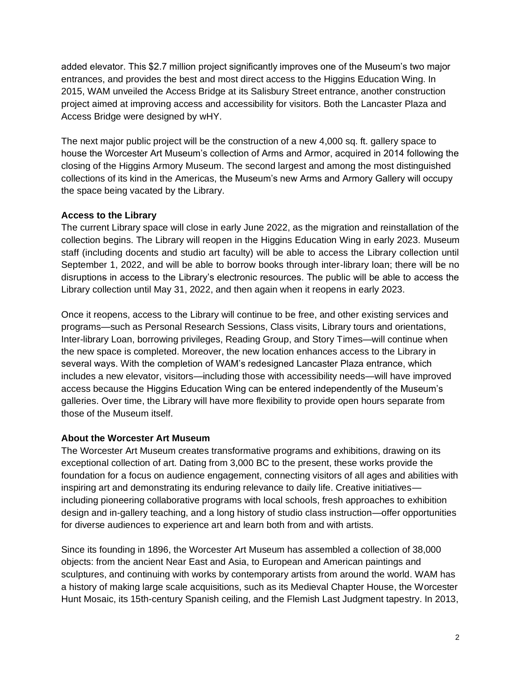added elevator. This \$2.7 million project significantly improves one of the Museum's two major entrances, and provides the best and most direct access to the Higgins Education Wing. In 2015, WAM unveiled the Access Bridge at its Salisbury Street entrance, another construction project aimed at improving access and accessibility for visitors. Both the Lancaster Plaza and Access Bridge were designed by wHY.

The next major public project will be the construction of a new 4,000 sq. ft. gallery space to house the Worcester Art Museum's collection of Arms and Armor, acquired in 2014 following the closing of the Higgins Armory Museum. The second largest and among the most distinguished collections of its kind in the Americas, the Museum's new Arms and Armory Gallery will occupy the space being vacated by the Library.

## **Access to the Library**

The current Library space will close in early June 2022, as the migration and reinstallation of the collection begins. The Library will reopen in the Higgins Education Wing in early 2023. Museum staff (including docents and studio art faculty) will be able to access the Library collection until September 1, 2022, and will be able to borrow books through inter-library loan; there will be no disruptions in access to the Library's electronic resources. The public will be able to access the Library collection until May 31, 2022, and then again when it reopens in early 2023.

Once it reopens, access to the Library will continue to be free, and other existing services and programs—such as Personal Research Sessions, Class visits, Library tours and orientations, Inter-library Loan, borrowing privileges, Reading Group, and Story Times—will continue when the new space is completed. Moreover, the new location enhances access to the Library in several ways. With the completion of WAM's redesigned Lancaster Plaza entrance, which includes a new elevator, visitors—including those with accessibility needs—will have improved access because the Higgins Education Wing can be entered independently of the Museum's galleries. Over time, the Library will have more flexibility to provide open hours separate from those of the Museum itself.

## **About the Worcester Art Museum**

The Worcester Art Museum creates transformative programs and exhibitions, drawing on its exceptional collection of art. Dating from 3,000 BC to the present, these works provide the foundation for a focus on audience engagement, connecting visitors of all ages and abilities with inspiring art and demonstrating its enduring relevance to daily life. Creative initiatives including pioneering collaborative programs with local schools, fresh approaches to exhibition design and in-gallery teaching, and a long history of studio class instruction—offer opportunities for diverse audiences to experience art and learn both from and with artists.

Since its founding in 1896, the Worcester Art Museum has assembled a collection of 38,000 objects: from the ancient Near East and Asia, to European and American paintings and sculptures, and continuing with works by contemporary artists from around the world. WAM has a history of making large scale acquisitions, such as its Medieval Chapter House, the Worcester Hunt Mosaic, its 15th-century Spanish ceiling, and the Flemish Last Judgment tapestry. In 2013,